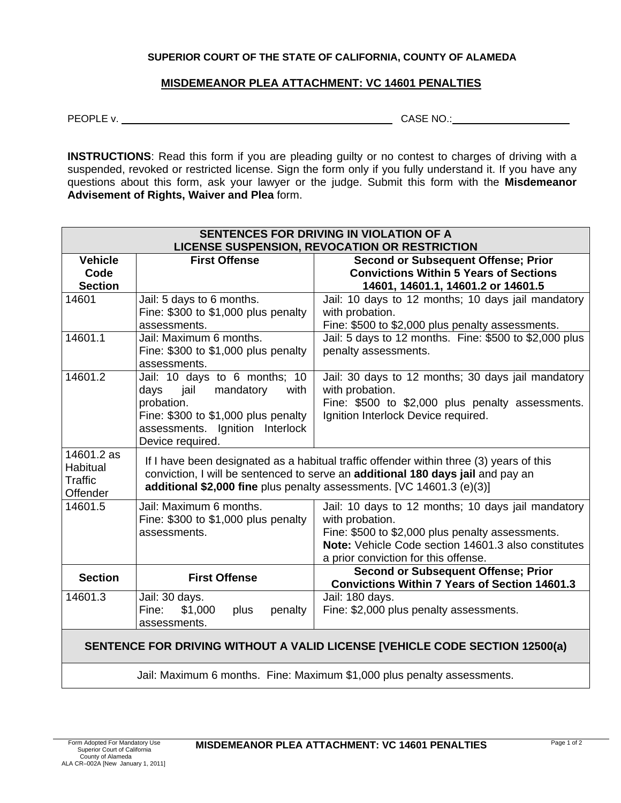## **SUPERIOR COURT OF THE STATE OF CALIFORNIA, COUNTY OF ALAMEDA**

## **MISDEMEANOR PLEA ATTACHMENT: VC 14601 PENALTIES**

PEOPLE v. CASE NO.:

**INSTRUCTIONS:** Read this form if you are pleading guilty or no contest to charges of driving with a suspended, revoked or restricted license. Sign the form only if you fully understand it. If you have any questions about this form, ask your lawyer or the judge. Submit this form with the **Misdemeanor Advisement of Rights, Waiver and Plea** form.

| SENTENCES FOR DRIVING IN VIOLATION OF A<br><b>LICENSE SUSPENSION, REVOCATION OR RESTRICTION</b> |                                                                                                                                                                                                                                                     |                                                                                                                                                                                                                          |
|-------------------------------------------------------------------------------------------------|-----------------------------------------------------------------------------------------------------------------------------------------------------------------------------------------------------------------------------------------------------|--------------------------------------------------------------------------------------------------------------------------------------------------------------------------------------------------------------------------|
| <b>Vehicle</b>                                                                                  | <b>First Offense</b>                                                                                                                                                                                                                                | <b>Second or Subsequent Offense; Prior</b>                                                                                                                                                                               |
| Code                                                                                            |                                                                                                                                                                                                                                                     | <b>Convictions Within 5 Years of Sections</b>                                                                                                                                                                            |
| <b>Section</b>                                                                                  |                                                                                                                                                                                                                                                     | 14601, 14601.1, 14601.2 or 14601.5                                                                                                                                                                                       |
| 14601                                                                                           | Jail: 5 days to 6 months.<br>Fine: \$300 to \$1,000 plus penalty<br>assessments.                                                                                                                                                                    | Jail: 10 days to 12 months; 10 days jail mandatory<br>with probation.<br>Fine: \$500 to \$2,000 plus penalty assessments.                                                                                                |
| 14601.1                                                                                         | Jail: Maximum 6 months.<br>Fine: $$300$ to $$1,000$ plus penalty<br>assessments.                                                                                                                                                                    | Jail: 5 days to 12 months. Fine: \$500 to \$2,000 plus<br>penalty assessments.                                                                                                                                           |
| 14601.2                                                                                         | Jail: 10 days to 6 months; 10<br>jail<br>mandatory<br>with<br>days<br>probation.<br>Fine: \$300 to \$1,000 plus penalty<br>assessments. Ignition Interlock<br>Device required.                                                                      | Jail: 30 days to 12 months; 30 days jail mandatory<br>with probation.<br>Fine: \$500 to \$2,000 plus penalty assessments.<br>Ignition Interlock Device required.                                                         |
| 14601.2 as<br>Habitual<br>Traffic<br>Offender                                                   | If I have been designated as a habitual traffic offender within three (3) years of this<br>conviction, I will be sentenced to serve an additional 180 days jail and pay an<br>additional \$2,000 fine plus penalty assessments. [VC 14601.3 (e)(3)] |                                                                                                                                                                                                                          |
| 14601.5                                                                                         | Jail: Maximum 6 months.<br>Fine: \$300 to \$1,000 plus penalty<br>assessments.                                                                                                                                                                      | Jail: 10 days to 12 months; 10 days jail mandatory<br>with probation.<br>Fine: \$500 to \$2,000 plus penalty assessments.<br>Note: Vehicle Code section 14601.3 also constitutes<br>a prior conviction for this offense. |
| <b>Section</b>                                                                                  | <b>First Offense</b>                                                                                                                                                                                                                                | <b>Second or Subsequent Offense; Prior</b><br><b>Convictions Within 7 Years of Section 14601.3</b>                                                                                                                       |
| 14601.3                                                                                         | Jail: 30 days.<br>\$1,000<br>Fine:<br>plus<br>penalty<br>assessments.                                                                                                                                                                               | Jail: 180 days.<br>Fine: \$2,000 plus penalty assessments.                                                                                                                                                               |
| SENTENCE FOR DRIVING WITHOUT A VALID LICENSE [VEHICLE CODE SECTION 12500(a)                     |                                                                                                                                                                                                                                                     |                                                                                                                                                                                                                          |

Jail: Maximum 6 months. Fine: Maximum \$1,000 plus penalty assessments.